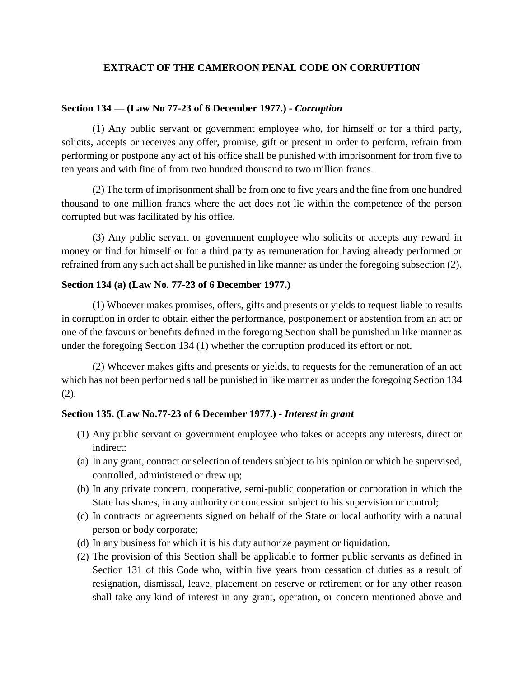#### **EXTRACT OF THE CAMEROON PENAL CODE ON CORRUPTION**

#### **Section 134 — (Law No 77-23 of 6 December 1977.) -** *Corruption*

(1) Any public servant or government employee who, for himself or for a third party, solicits, accepts or receives any offer, promise, gift or present in order to perform, refrain from performing or postpone any act of his office shall be punished with imprisonment for from five to ten years and with fine of from two hundred thousand to two million francs.

(2) The term of imprisonment shall be from one to five years and the fine from one hundred thousand to one million francs where the act does not lie within the competence of the person corrupted but was facilitated by his office.

(3) Any public servant or government employee who solicits or accepts any reward in money or find for himself or for a third party as remuneration for having already performed or refrained from any such act shall be punished in like manner as under the foregoing subsection (2).

#### **Section 134 (a) (Law No. 77-23 of 6 December 1977.)**

(1) Whoever makes promises, offers, gifts and presents or yields to request liable to results in corruption in order to obtain either the performance, postponement or abstention from an act or one of the favours or benefits defined in the foregoing Section shall be punished in like manner as under the foregoing Section 134 (1) whether the corruption produced its effort or not.

(2) Whoever makes gifts and presents or yields, to requests for the remuneration of an act which has not been performed shall be punished in like manner as under the foregoing Section 134 (2).

#### **Section 135. (Law No.77-23 of 6 December 1977.) -** *Interest in grant*

- (1) Any public servant or government employee who takes or accepts any interests, direct or indirect:
- (a) In any grant, contract or selection of tenders subject to his opinion or which he supervised, controlled, administered or drew up;
- (b) In any private concern, cooperative, semi-public cooperation or corporation in which the State has shares, in any authority or concession subject to his supervision or control;
- (c) In contracts or agreements signed on behalf of the State or local authority with a natural person or body corporate;
- (d) In any business for which it is his duty authorize payment or liquidation.
- (2) The provision of this Section shall be applicable to former public servants as defined in Section 131 of this Code who, within five years from cessation of duties as a result of resignation, dismissal, leave, placement on reserve or retirement or for any other reason shall take any kind of interest in any grant, operation, or concern mentioned above and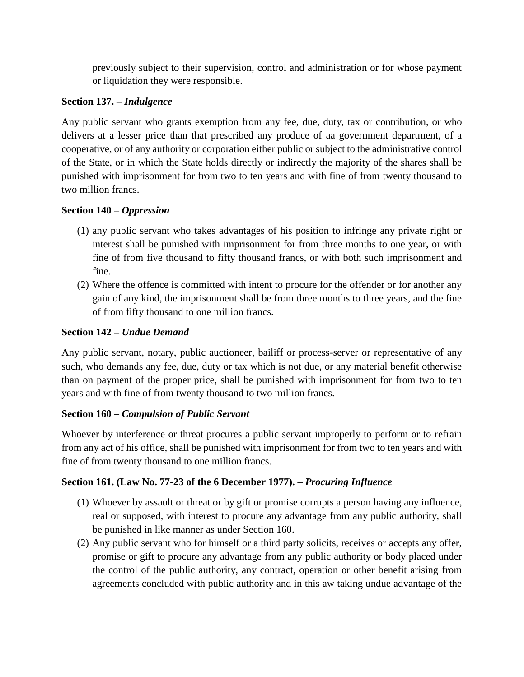previously subject to their supervision, control and administration or for whose payment or liquidation they were responsible.

### **Section 137. –** *Indulgence*

Any public servant who grants exemption from any fee, due, duty, tax or contribution, or who delivers at a lesser price than that prescribed any produce of aa government department, of a cooperative, or of any authority or corporation either public or subject to the administrative control of the State, or in which the State holds directly or indirectly the majority of the shares shall be punished with imprisonment for from two to ten years and with fine of from twenty thousand to two million francs.

## **Section 140 –** *Oppression*

- (1) any public servant who takes advantages of his position to infringe any private right or interest shall be punished with imprisonment for from three months to one year, or with fine of from five thousand to fifty thousand francs, or with both such imprisonment and fine.
- (2) Where the offence is committed with intent to procure for the offender or for another any gain of any kind, the imprisonment shall be from three months to three years, and the fine of from fifty thousand to one million francs.

### **Section 142 –** *Undue Demand*

Any public servant, notary, public auctioneer, bailiff or process-server or representative of any such, who demands any fee, due, duty or tax which is not due, or any material benefit otherwise than on payment of the proper price, shall be punished with imprisonment for from two to ten years and with fine of from twenty thousand to two million francs.

# **Section 160 –** *Compulsion of Public Servant*

Whoever by interference or threat procures a public servant improperly to perform or to refrain from any act of his office, shall be punished with imprisonment for from two to ten years and with fine of from twenty thousand to one million francs.

# **Section 161. (Law No. 77-23 of the 6 December 1977). –** *Procuring Influence*

- (1) Whoever by assault or threat or by gift or promise corrupts a person having any influence, real or supposed, with interest to procure any advantage from any public authority, shall be punished in like manner as under Section 160.
- (2) Any public servant who for himself or a third party solicits, receives or accepts any offer, promise or gift to procure any advantage from any public authority or body placed under the control of the public authority, any contract, operation or other benefit arising from agreements concluded with public authority and in this aw taking undue advantage of the